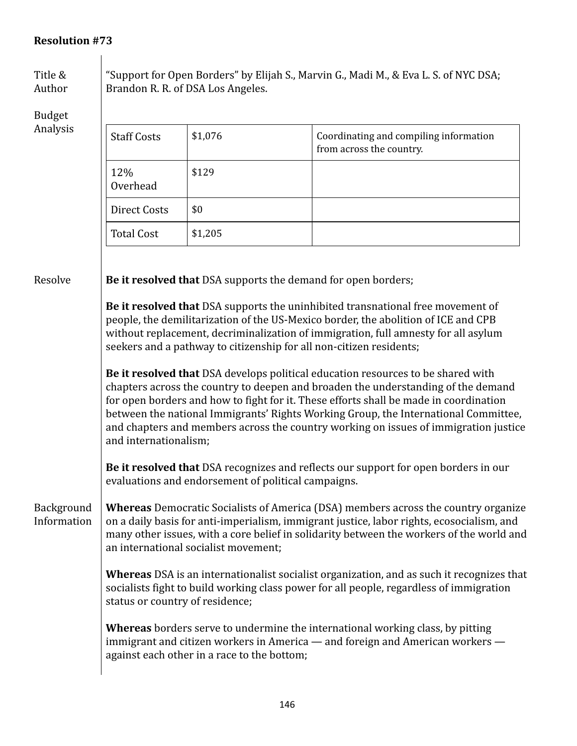## **Resolution #73**

Title & Author

Budget

| $50$ augue<br>Analysis |                    |         |                                                                    |
|------------------------|--------------------|---------|--------------------------------------------------------------------|
|                        | <b>Staff Costs</b> | \$1,076 | Coordinating and compiling information<br>from across the country. |
|                        | 12%<br>Overhead    | \$129   |                                                                    |
|                        | Direct Costs       | \$0     |                                                                    |
|                        | <b>Total Cost</b>  | \$1,205 |                                                                    |

"Support for Open Borders" by Elijah S., Marvin G., Madi M., & Eva L. S. of NYC DSA;

**Resolve Be it resolved that** DSA supports the demand for open borders;

Brandon R. R. of DSA Los Angeles.

**Be it resolved that** DSA supports the uninhibited transnational free movement of people, the demilitarization of the US-Mexico border, the abolition of ICE and CPB without replacement, decriminalization of immigration, full amnesty for all asylum seekers and a pathway to citizenship for all non-citizen residents;

**Be it resolved that** DSA develops political education resources to be shared with chapters across the country to deepen and broaden the understanding of the demand for open borders and how to fight for it. These efforts shall be made in coordination between the national Immigrants' Rights Working Group, the International Committee, and chapters and members across the country working on issues of immigration justice and internationalism;

**Be it resolved that** DSA recognizes and reflects our support for open borders in our evaluations and endorsement of political campaigns.

Background Information

**Whereas** Democratic Socialists of America (DSA) members across the country organize on a daily basis for anti-imperialism, immigrant justice, labor rights, ecosocialism, and many other issues, with a core belief in solidarity between the workers of the world and an international socialist movement;

**Whereas** DSA is an internationalist socialist organization, and as such it recognizes that socialists fight to build working class power for all people, regardless of immigration status or country of residence;

**Whereas** borders serve to undermine the international working class, by pitting immigrant and citizen workers in America  $-$  and foreign and American workers  $$ against each other in a race to the bottom;